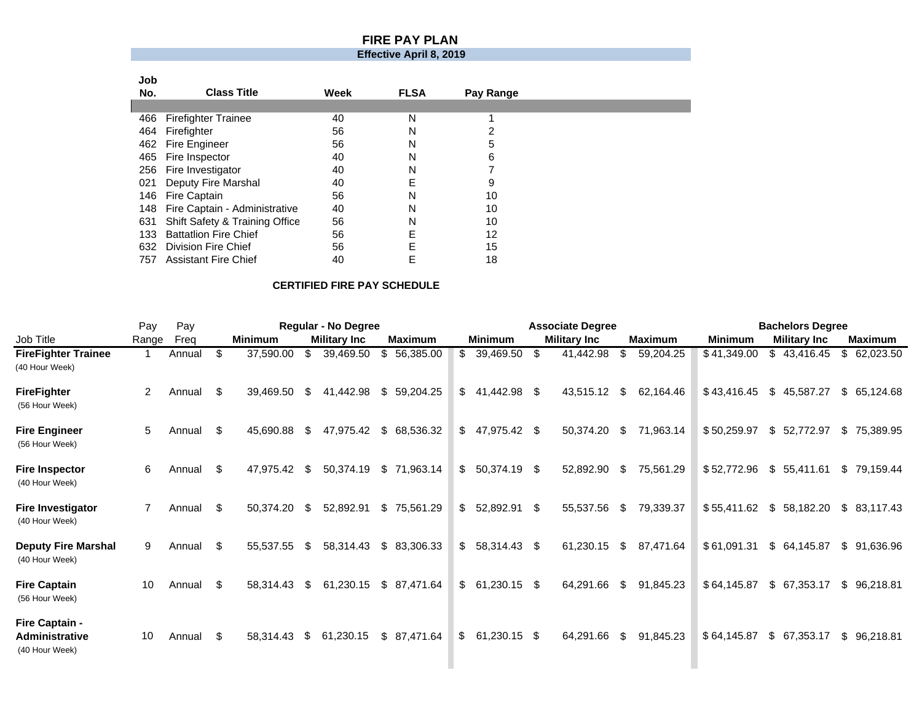## **FIRE PAY PLAN**

## **Effective April 8, 2019**

| Job |                                   |      |             |           |  |
|-----|-----------------------------------|------|-------------|-----------|--|
| No. | <b>Class Title</b>                | Week | <b>FLSA</b> | Pay Range |  |
|     |                                   |      |             |           |  |
| 466 | <b>Firefighter Trainee</b>        | 40   | N           |           |  |
| 464 | Firefighter                       | 56   | N           | ⌒         |  |
| 462 | Fire Engineer                     | 56   | N           | 5         |  |
| 465 | Fire Inspector                    | 40   | N           | 6         |  |
|     | 256 Fire Investigator             | 40   | N           |           |  |
|     | 021 Deputy Fire Marshal           | 40   | E           | 9         |  |
| 146 | Fire Captain                      | 56   | N           | 10        |  |
|     | 148 Fire Captain - Administrative | 40   | N           | 10        |  |
| 631 | Shift Safety & Training Office    | 56   | N           | 10        |  |
| 133 | <b>Battatlion Fire Chief</b>      | 56   | E           | 12        |  |
| 632 | Division Fire Chief               | 56   | E           | 15        |  |
| 757 | <b>Assistant Fire Chief</b>       | 40   | E           | 18        |  |

## **CERTIFIED FIRE PAY SCHEDULE**

|                                                           | Pay            | Pay    |     | <b>Regular - No Degree</b> |      |                     |  |                |    |                |     | <b>Associate Degree</b> |      | <b>Bachelors Degree</b> |                |    |                     |    |                |
|-----------------------------------------------------------|----------------|--------|-----|----------------------------|------|---------------------|--|----------------|----|----------------|-----|-------------------------|------|-------------------------|----------------|----|---------------------|----|----------------|
| Job Title                                                 | Range          | Freg   |     | <b>Minimum</b>             |      | <b>Military Inc</b> |  | <b>Maximum</b> |    | <b>Minimum</b> |     | <b>Military Inc</b>     |      | Maximum                 | <b>Minimum</b> |    | <b>Military Inc</b> |    | <b>Maximum</b> |
| <b>FireFighter Trainee</b><br>(40 Hour Week)              |                | Annual | \$. | 37,590.00                  | \$.  | 39,469.50           |  | \$56,385.00    | \$ | 39,469.50      | \$. | 41,442.98               |      | 59,204.25               | \$41,349.00    |    | \$43,416.45         | \$ | 62,023.50      |
| <b>FireFighter</b><br>(56 Hour Week)                      | $\overline{2}$ | Annual | \$  | 39,469.50                  | S.   | 41,442.98           |  | \$59,204.25    | \$ | 41,442.98 \$   |     | 43,515.12               | - \$ | 62,164.46               | \$43,416.45    | \$ | 45,587.27           |    | \$65,124.68    |
| <b>Fire Engineer</b><br>(56 Hour Week)                    | 5              | Annual | \$  | 45,690.88                  | - \$ | 47,975.42           |  | \$ 68,536.32   | \$ | 47,975.42 \$   |     | 50,374.20               | - \$ | 71,963.14               | \$50,259.97    | \$ | 52,772.97           | \$ | 75.389.95      |
| <b>Fire Inspector</b><br>(40 Hour Week)                   | 6              | Annual | \$  | 47,975.42                  | - \$ | 50,374.19           |  | \$71,963.14    | \$ | 50,374.19 \$   |     | 52,892.90               | - \$ | 75,561.29               | \$52,772.96    | \$ | 55,411.61           | \$ | 79,159.44      |
| <b>Fire Investigator</b><br>(40 Hour Week)                | $\overline{7}$ | Annual | \$  | 50,374.20                  | \$   | 52,892.91           |  | \$75,561.29    | \$ | 52,892.91 \$   |     | 55,537.56               | - \$ | 79,339.37               | \$55,411.62    | \$ | 58,182.20           | \$ | 83.117.43      |
| <b>Deputy Fire Marshal</b><br>(40 Hour Week)              | 9              | Annual | \$  | 55,537.55                  | -S   | 58,314.43           |  | \$83,306.33    | \$ | 58,314.43 \$   |     | 61,230.15               | -S   | 87,471.64               | \$61,091.31    | \$ | 64,145.87           | \$ | 91,636.96      |
| <b>Fire Captain</b><br>(56 Hour Week)                     | 10             | Annual | \$  | 58,314.43                  | - \$ | 61,230.15           |  | \$87,471.64    | \$ | 61,230.15 \$   |     | 64,291.66               | - \$ | 91,845.23               | \$64,145.87    | \$ | 67,353.17           | \$ | 96,218.81      |
| Fire Captain -<br><b>Administrative</b><br>(40 Hour Week) | 10             | Annual | \$  | 58,314.43                  | - \$ | 61,230.15           |  | \$ 87,471.64   | \$ | 61,230.15 \$   |     | 64,291.66               | - \$ | 91,845.23               | \$64,145.87    | \$ | 67,353.17           | \$ | 96,218.81      |